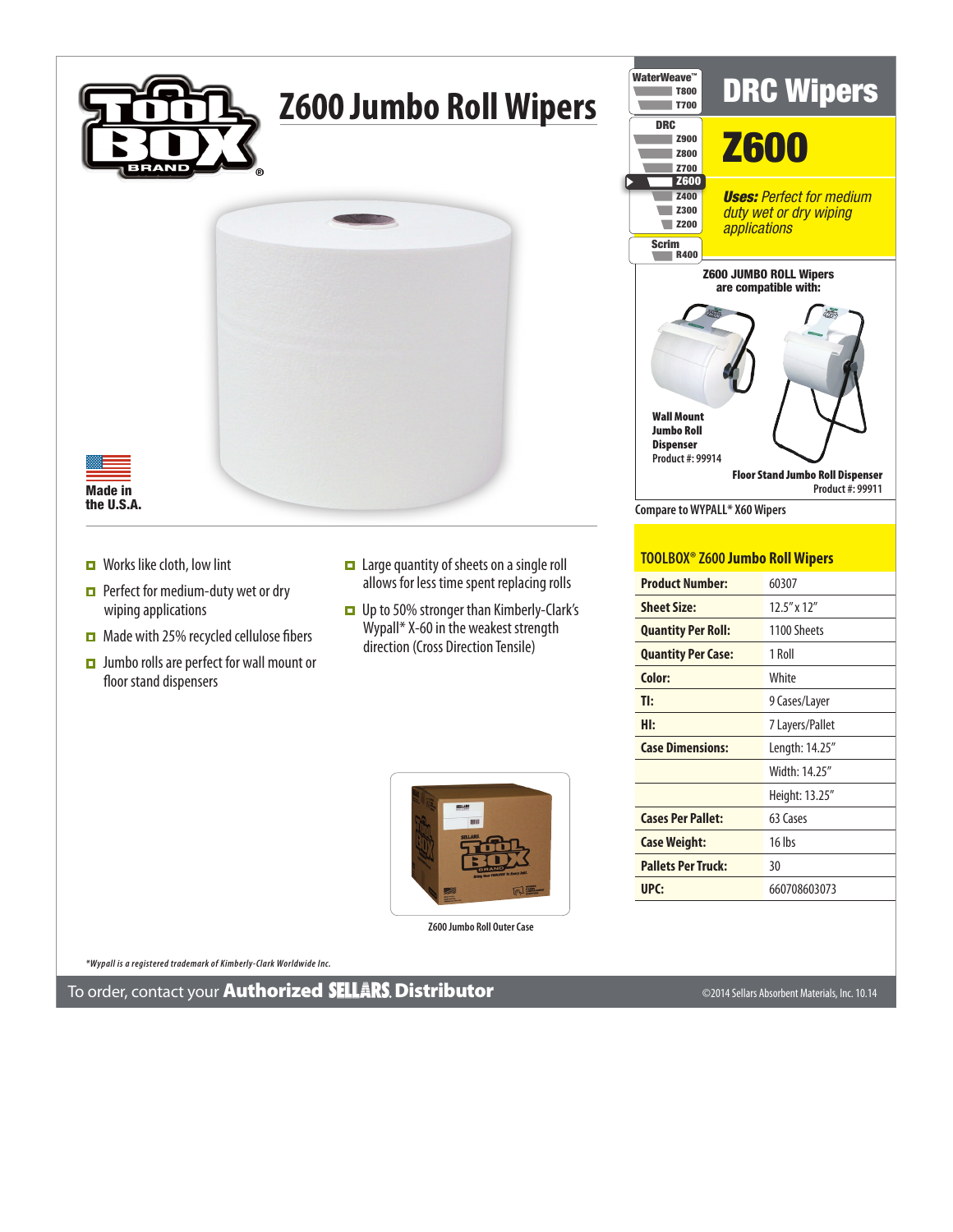

## **Z600 Jumbo Roll Wipers**



Made in the U.S.A.

- $\Box$  Works like cloth, low lint
- **Perfect for medium-duty wet or dry** wiping applications
- $\Box$  Made with 25% recycled cellulose fibers
- **D** Jumbo rolls are perfect for wall mount or floor stand dispensers
- Large quantity of sheets on a single roll allows for less time spent replacing rolls
- Up to 50% stronger than Kimberly-Clark's Wypall\* X-60 in the weakest strength direction (Cross Direction Tensile)



**Z600 Jumbo Roll Outer Case**



## **TOOLBOX® Z600 Jumbo Roll Wipers**

| <b>Product Number:</b>    | 60307             |
|---------------------------|-------------------|
| <b>Sheet Size:</b>        | $12.5''$ x $12''$ |
| <b>Quantity Per Roll:</b> | 1100 Sheets       |
| <b>Quantity Per Case:</b> | 1 Roll            |
| Color:                    | White             |
| TI:                       | 9 Cases/Layer     |
| HI:                       | 7 Layers/Pallet   |
| <b>Case Dimensions:</b>   | Length: 14.25"    |
|                           | Width: 14.25"     |
|                           | Height: 13.25"    |
| <b>Cases Per Pallet:</b>  | 63 Cases          |
| <b>Case Weight:</b>       | $16$ lbs          |
| <b>Pallets Per Truck:</b> | 30                |
| UPC:                      | 660708603073      |

*\*Wypall is a registered trademark of Kimberly-Clark Worldwide Inc.*

To order, contact your Authorized Distributor ©2014 Sellars Absorbent Materials, Inc. 10.14